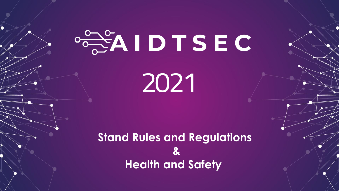# $\circ \frac{1}{2}$ AIDTSEC 2021

**Stand Rules and Regulations & Health and Safety**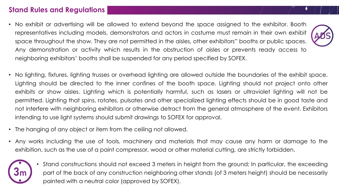### **Stand Rules and Regulations**

- No exhibit or advertising will be allowed to extend beyond the space assigned to the exhibitor. Booth representatives including models, demonstrators and actors in costume must remain in their own exhibit space throughout the show. They are not permitted in the aisles, other exhibitors" booths or public spaces. Any demonstration or activity which results in the obstruction of aisles or prevents ready access to neighboring exhibitors' booths shall be suspended for any period specified by SOFEX.
- No lighting, fixtures, lighting trusses or overhead lighting are allowed outside the boundaries of the exhibit space. Lighting should be directed to the inner confines of the booth space. Lighting should not project onto other exhibits or show aisles. Lighting which is potentially harmful, such as lasers or ultraviolet lighting will not be permitted. Lighting that spins, rotates, pulsates and other specialized lighting effects should be in good taste and not interfere with neighboring exhibitors or otherwise detract from the general atmosphere of the event. Exhibitors intending to use light systems should submit drawings to SOFEX for approval.
- The hanging of any object or item from the ceiling not allowed.
- Any works including the use of tools, machinery and materials that may cause any harm or damage to the exhibition, such as the use of a paint compressor, wood or other material cutting, are strictly forbidden.



• Stand constructions should not exceed 3 meters in height from the ground; In particular, the exceeding part of the back of any construction neighboring other stands (of 3 meters height) should be necessarily painted with a neutral color (approved by SOFEX).

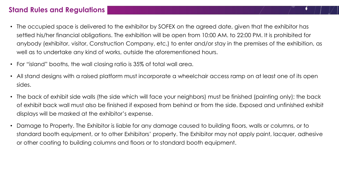### **Stand Rules and Regulations**

- The occupied space is delivered to the exhibitor by SOFEX on the agreed date, given that the exhibitor has settled his/her financial obligations. The exhibition will be open from 10:00 AM. to 22:00 PM. It is prohibited for anybody (exhibitor, visitor, Construction Company, etc.) to enter and/or stay in the premises of the exhibition, as well as to undertake any kind of works, outside the aforementioned hours.
- For "island" booths, the wall closing ratio is 35% of total wall area.
- All stand designs with a raised platform must incorporate a wheelchair access ramp on at least one of its open sides.
- The back of exhibit side walls (the side which will face your neighbors) must be finished (painting only); the back of exhibit back wall must also be finished if exposed from behind or from the side. Exposed and unfinished exhibit displays will be masked at the exhibitor's expense.
- Damage to Property. The Exhibitor is liable for any damage caused to building floors, walls or columns, or to standard booth equipment, or to other Exhibitors' property. The Exhibitor may not apply paint, lacquer, adhesive or other coating to building columns and floors or to standard booth equipment.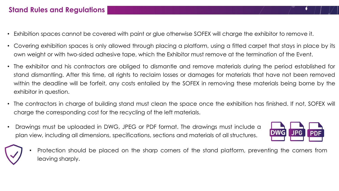## **Stand Rules and Regulations**

- Exhibition spaces cannot be covered with paint or glue otherwise SOFEX will charge the exhibitor to remove it.
- Covering exhibition spaces is only allowed through placing a platform, using a fitted carpet that stays in place by its own weight or with two-sided adhesive tape, which the Exhibitor must remove at the termination of the Event.
- The exhibitor and his contractors are obliged to dismantle and remove materials during the period established for stand dismantling. After this time, all rights to reclaim losses or damages for materials that have not been removed within the deadline will be forfeit, any costs entailed by the SOFEX in removing these materials being borne by the exhibitor in question.
- The contractors in charge of building stand must clean the space once the exhibition has finished. If not, SOFEX will charge the corresponding cost for the recycling of the left materials.
- Drawings must be uploaded in DWG, JPEG or PDF format. The drawings must include a plan view, including all dimensions, specifications, sections and materials of all structures.



• Protection should be placed on the sharp corners of the stand platform, preventing the corners from leaving sharply.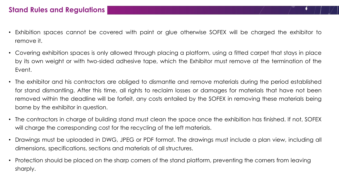- Exhibition spaces cannot be covered with paint or glue otherwise SOFEX will be charged the exhibitor to remove it.
- Covering exhibition spaces is only allowed through placing a platform, using a fitted carpet that stays in place by its own weight or with two-sided adhesive tape, which the Exhibitor must remove at the termination of the Event.
- The exhibitor and his contractors are obliged to dismantle and remove materials during the period established for stand dismantling. After this time, all rights to reclaim losses or damages for materials that have not been removed within the deadline will be forfeit, any costs entailed by the SOFEX in removing these materials being borne by the exhibitor in question.
- The contractors in charge of building stand must clean the space once the exhibition has finished. If not, SOFEX will charge the corresponding cost for the recycling of the left materials.
- Drawings must be uploaded in DWG, JPEG or PDF format. The drawings must include a plan view, including all dimensions, specifications, sections and materials of all structures.
- Protection should be placed on the sharp corners of the stand platform, preventing the corners from leaving sharply.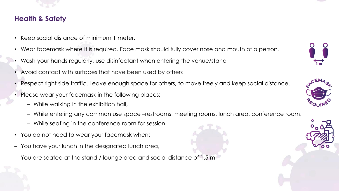

# **Health & Safety**

- Keep social distance of minimum 1 meter.
- Wear facemask where it is required. Face mask should fully cover nose and mouth of a person.
- Wash your hands regularly, use disinfectant when entering the venue/stand
- Avoid contact with surfaces that have been used by others
- Respect right side traffic. Leave enough space for others, to move freely and keep social distance.
- Please wear your facemask in the following places:
	- While walking in the exhibition hall,
	- While entering any common use space –restrooms, meeting rooms, lunch area, conference room,
	- While seating in the conference room for session
- You do not need to wear your facemask when:
- You have your lunch in the designated lunch area,
- You are seated at the stand / lounge area and social distance of 1.5 m